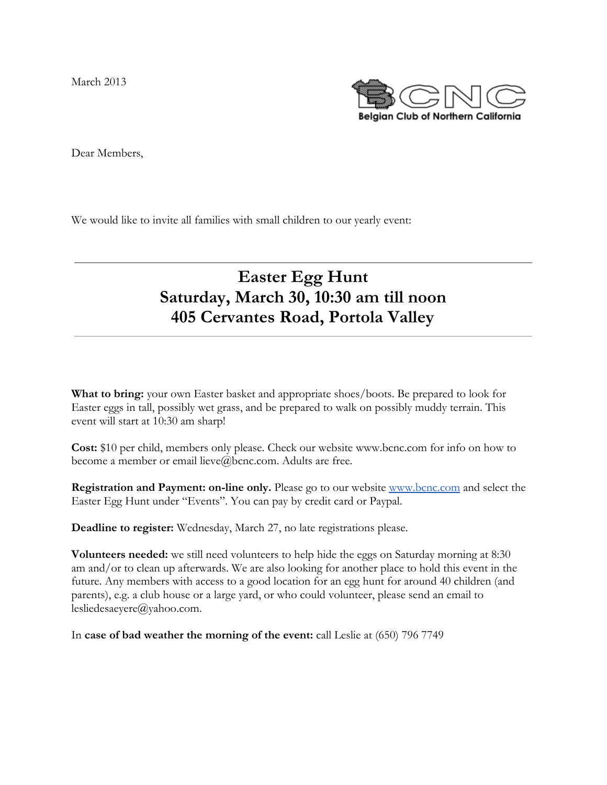March 2013



Dear Members,

We would like to invite all families with small children to our yearly event:

## **Easter Egg Hunt Saturday, March 30, 10:30 am till noon 405 Cervantes Road, Portola Valley**

**What to bring:** your own Easter basket and appropriate shoes/boots. Be prepared to look for Easter eggs in tall, possibly wet grass, and be prepared to walk on possibly muddy terrain. This event will start at 10:30 am sharp!

**Cost:** \$10 per child, members only please. Check our website www.bcnc.com for info on how to become a member or email lieve@bcnc.com. Adults are free.

**Registration and Payment: on-line only.** Please go to our website [www.bcnc.com](http://www.google.com/url?q=http%3A%2F%2Fwww.bcnc.com&sa=D&sntz=1&usg=AFQjCNH4Hj_cDSQpnJ98iUCYE4oRmGfldQ) and select the Easter Egg Hunt under "Events". You can pay by credit card or Paypal.

**Deadline to register:** Wednesday, March 27, no late registrations please.

**Volunteers needed:** we still need volunteers to help hide the eggs on Saturday morning at 8:30 am and/or to clean up afterwards. We are also looking for another place to hold this event in the future. Any members with access to a good location for an egg hunt for around 40 children (and parents), e.g. a club house or a large yard, or who could volunteer, please send an email to lesliedesaeyere@yahoo.com.

In **case of bad weather the morning of the event:** call Leslie at (650) 796 7749